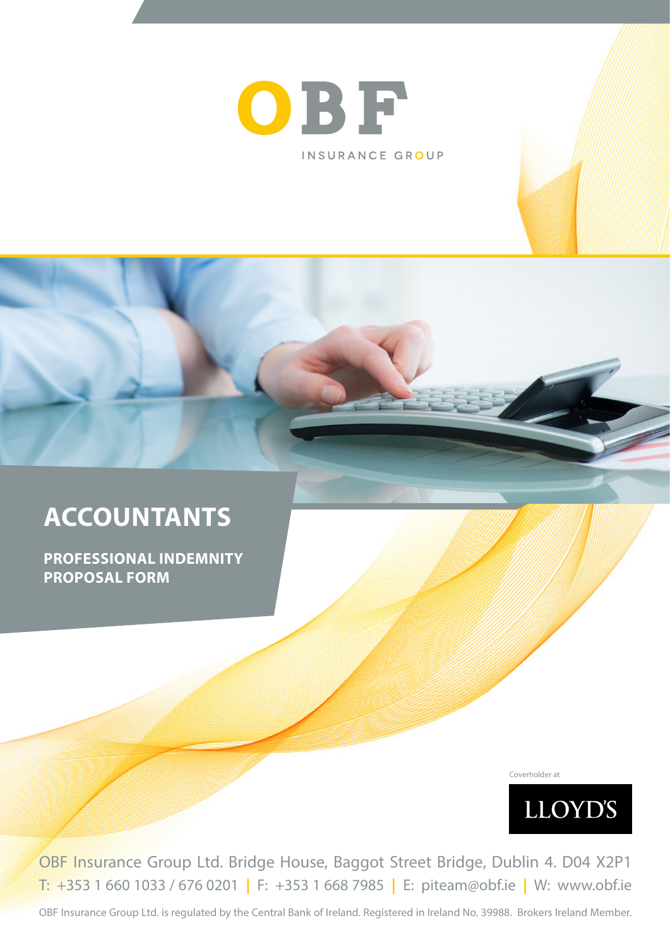

# **ACCOUNTANTS**

**PROFESSIONAL INDEMNITY PROPOSAL FORM**

Coverholder at



OBF Insurance Group Ltd. Bridge House, Baggot Street Bridge, Dublin 4. D04 X2P1 T: +353 1 660 1033 / 676 0201 **|** F: +353 1 668 7985 **|** E: piteam@obf.ie **|** W: www.obf.ie

OBF Insurance Group Ltd. is regulated by the Central Bank of Ireland. Registered in Ireland No. 39988. Brokers Ireland Member.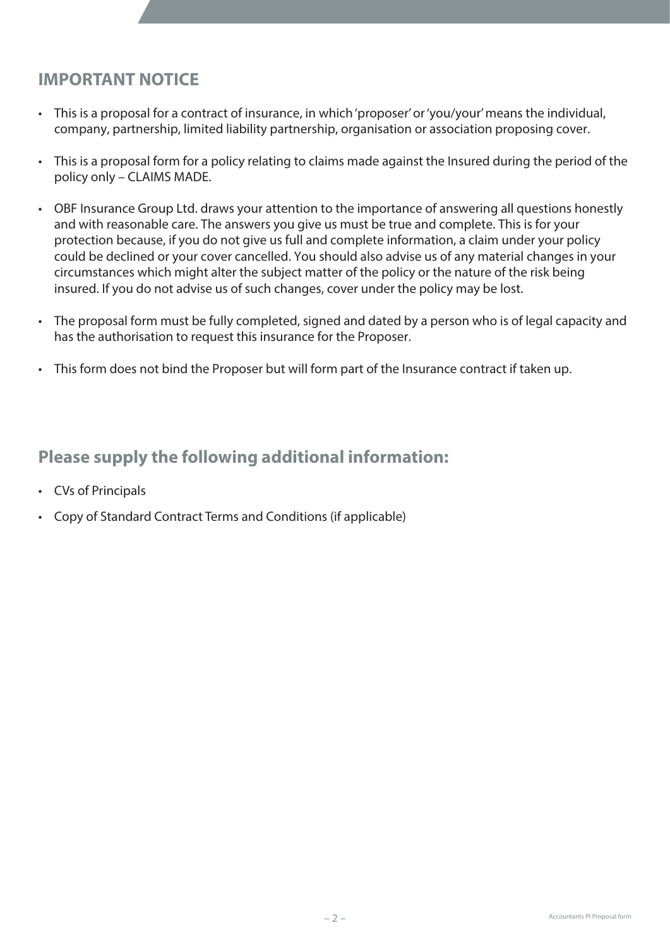### **IMPORTANT NOTICE**

- This is a proposal for a contract of insurance, in which 'proposer' or 'you/your' means the individual, company, partnership, limited liability partnership, organisation or association proposing cover.
- This is a proposal form for a policy relating to claims made against the Insured during the period of the policy only – CLAIMS MADE.
- OBF Insurance Group Ltd. draws your attention to the importance of answering all questions honestly and with reasonable care. The answers you give us must be true and complete. This is for your protection because, if you do not give us full and complete information, a claim under your policy could be declined or your cover cancelled. You should also advise us of any material changes in your circumstances which might alter the subject matter of the policy or the nature of the risk being insured. If you do not advise us of such changes, cover under the policy may be lost.
- The proposal form must be fully completed, signed and dated by a person who is of legal capacity and has the authorisation to request this insurance for the Proposer.
- This form does not bind the Proposer but will form part of the Insurance contract if taken up.

### **Please supply the following additional information:**

- CVs of Principals
- Copy of Standard Contract Terms and Conditions (if applicable)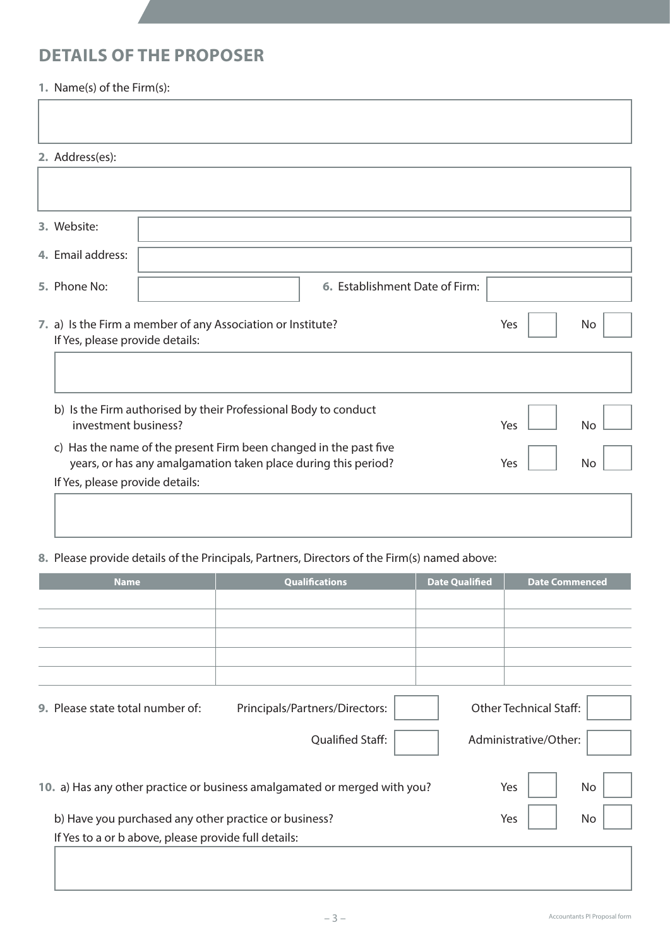# **DETAILS OF THE PROPOSER**

### **1.** Name(s) of the Firm(s):

| 2. Address(es):                 |                                                                                                                                     |                                |     |           |
|---------------------------------|-------------------------------------------------------------------------------------------------------------------------------------|--------------------------------|-----|-----------|
|                                 |                                                                                                                                     |                                |     |           |
|                                 |                                                                                                                                     |                                |     |           |
| 3. Website:                     |                                                                                                                                     |                                |     |           |
| 4. Email address:               |                                                                                                                                     |                                |     |           |
| 5. Phone No:                    |                                                                                                                                     | 6. Establishment Date of Firm: |     |           |
|                                 | 7. a) Is the Firm a member of any Association or Institute?<br>If Yes, please provide details:                                      |                                |     | No        |
|                                 |                                                                                                                                     |                                |     |           |
| investment business?            | b) Is the Firm authorised by their Professional Body to conduct                                                                     |                                | Yes | <b>No</b> |
|                                 | c) Has the name of the present Firm been changed in the past five<br>years, or has any amalgamation taken place during this period? |                                | Yes | <b>No</b> |
| If Yes, please provide details: |                                                                                                                                     |                                |     |           |
|                                 |                                                                                                                                     |                                |     |           |

**8.** Please provide details of the Principals, Partners, Directors of the Firm(s) named above:

| <b>Name</b>                                           | <b>Qualifications</b>                                                     | <b>Date Qualified</b> | <b>Date Commenced</b>         |
|-------------------------------------------------------|---------------------------------------------------------------------------|-----------------------|-------------------------------|
|                                                       |                                                                           |                       |                               |
|                                                       |                                                                           |                       |                               |
|                                                       |                                                                           |                       |                               |
|                                                       |                                                                           |                       |                               |
|                                                       |                                                                           |                       |                               |
| 9. Please state total number of:                      | Principals/Partners/Directors:                                            |                       | <b>Other Technical Staff:</b> |
|                                                       | <b>Qualified Staff:</b>                                                   |                       | Administrative/Other:         |
|                                                       |                                                                           |                       |                               |
|                                                       | 10. a) Has any other practice or business amalgamated or merged with you? |                       | Yes<br>No                     |
| b) Have you purchased any other practice or business? |                                                                           |                       | Yes<br>No                     |
| If Yes to a or b above, please provide full details:  |                                                                           |                       |                               |
|                                                       |                                                                           |                       |                               |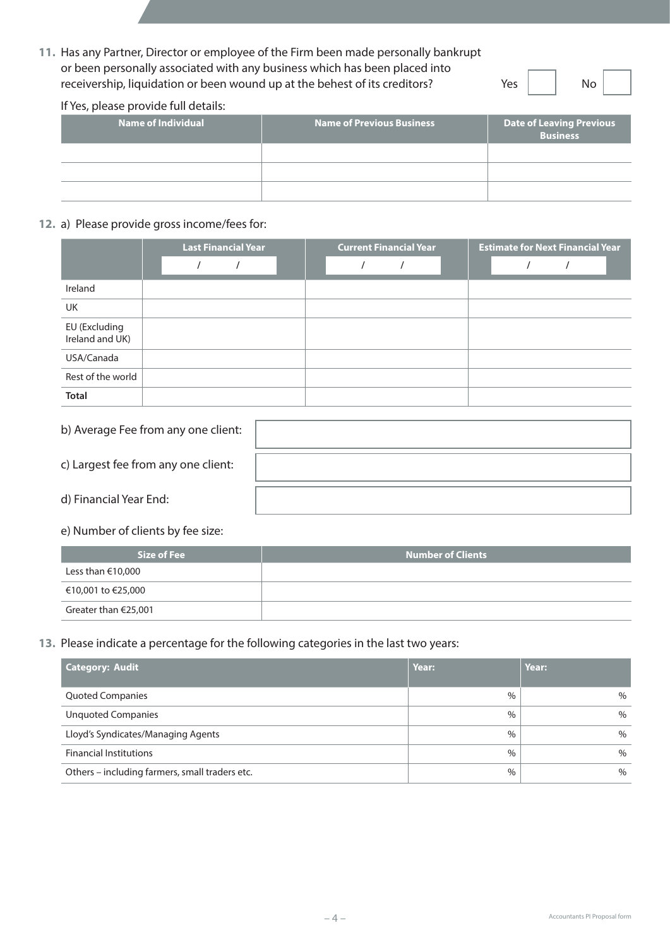**11.** Has any Partner, Director or employee of the Firm been made personally bankrupt or been personally associated with any business which has been placed into receivership, liquidation or been wound up at the behest of its creditors? Yes No 

#### If Yes, please provide full details:

| Name of Individual | <b>Name of Previous Business</b> | Date of Leaving Previous<br><b>Business</b> |
|--------------------|----------------------------------|---------------------------------------------|
|                    |                                  |                                             |
|                    |                                  |                                             |
|                    |                                  |                                             |

#### **12.** a) Please provide gross income/fees for:

|                                  | <b>Last Financial Year</b> | <b>Current Financial Year</b> | <b>Estimate for Next Financial Year</b> |  |  |
|----------------------------------|----------------------------|-------------------------------|-----------------------------------------|--|--|
|                                  |                            |                               |                                         |  |  |
| Ireland                          |                            |                               |                                         |  |  |
| <b>UK</b>                        |                            |                               |                                         |  |  |
| EU (Excluding<br>Ireland and UK) |                            |                               |                                         |  |  |
| USA/Canada                       |                            |                               |                                         |  |  |
| Rest of the world                |                            |                               |                                         |  |  |
| <b>Total</b>                     |                            |                               |                                         |  |  |

| b) Average Fee from any one client: |  |
|-------------------------------------|--|
| c) Largest fee from any one client: |  |
| d) Financial Year End:              |  |

#### e) Number of clients by fee size:

| Size of Fee             | <b>Number of Clients</b> |
|-------------------------|--------------------------|
| Less than €10,000       |                          |
| €10,001 to €25,000      |                          |
| Greater than $E$ 25,001 |                          |

#### **13.** Please indicate a percentage for the following categories in the last two years:

| <b>Category: Audit</b>                         | Year: | Year: |
|------------------------------------------------|-------|-------|
| <b>Quoted Companies</b>                        | $\%$  | $\%$  |
| <b>Unquoted Companies</b>                      | $\%$  | $\%$  |
| Lloyd's Syndicates/Managing Agents             | $\%$  | $\%$  |
| <b>Financial Institutions</b>                  | $\%$  | $\%$  |
| Others - including farmers, small traders etc. | $\%$  | $\%$  |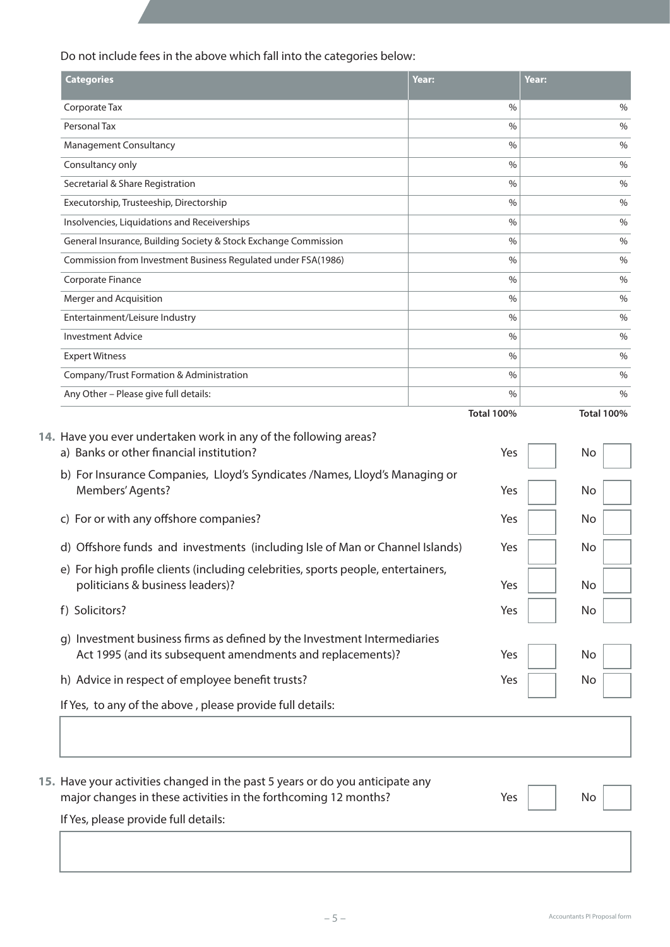Do not include fees in the above which fall into the categories below:

| <b>Categories</b>                                                                                                                                | Year:         | Year:    |               |
|--------------------------------------------------------------------------------------------------------------------------------------------------|---------------|----------|---------------|
| Corporate Tax                                                                                                                                    | $\%$          |          | $\%$          |
| Personal Tax                                                                                                                                     | $\%$          |          | $\%$          |
| Management Consultancy                                                                                                                           | $\frac{0}{0}$ |          | $\%$          |
| Consultancy only                                                                                                                                 | $\%$          |          | $\frac{0}{0}$ |
| Secretarial & Share Registration                                                                                                                 | $\%$          |          | $\%$          |
| Executorship, Trusteeship, Directorship                                                                                                          | $\%$          |          | $\%$          |
| Insolvencies, Liquidations and Receiverships                                                                                                     | $\%$          |          | $\%$          |
| General Insurance, Building Society & Stock Exchange Commission                                                                                  | $\frac{0}{0}$ |          | $\%$          |
| Commission from Investment Business Regulated under FSA(1986)                                                                                    | $\%$          |          | $\%$          |
| Corporate Finance                                                                                                                                | $\%$          |          | $\%$          |
| Merger and Acquisition                                                                                                                           | $\%$          |          | $\%$          |
| Entertainment/Leisure Industry                                                                                                                   | $\%$          |          | %             |
| <b>Investment Advice</b>                                                                                                                         | $\%$          |          | $\%$          |
| <b>Expert Witness</b>                                                                                                                            | $\%$          |          | $\%$          |
| Company/Trust Formation & Administration                                                                                                         | $\frac{0}{0}$ |          | $\%$          |
| Any Other - Please give full details:                                                                                                            | $\%$          |          | $\%$          |
| 14. Have you ever undertaken work in any of the following areas?                                                                                 |               |          |               |
| a) Banks or other financial institution?<br>b) For Insurance Companies, Lloyd's Syndicates /Names, Lloyd's Managing or<br>Members' Agents?       | Yes<br>Yes    | No<br>No |               |
| c) For or with any offshore companies?                                                                                                           | Yes           | No       |               |
| d) Offshore funds and investments (including Isle of Man or Channel Islands)                                                                     | Yes           | No       |               |
| e) For high profile clients (including celebrities, sports people, entertainers,<br>politicians & business leaders)?                             | Yes           | No       |               |
| f) Solicitors?                                                                                                                                   | Yes           | No       |               |
| g) Investment business firms as defined by the Investment Intermediaries<br>Act 1995 (and its subsequent amendments and replacements)?           | Yes           | No       |               |
| h) Advice in respect of employee benefit trusts?                                                                                                 | Yes           | No       |               |
| If Yes, to any of the above, please provide full details:                                                                                        |               |          |               |
|                                                                                                                                                  |               |          |               |
| 15. Have your activities changed in the past 5 years or do you anticipate any<br>major changes in these activities in the forthcoming 12 months? | Yes           | No       |               |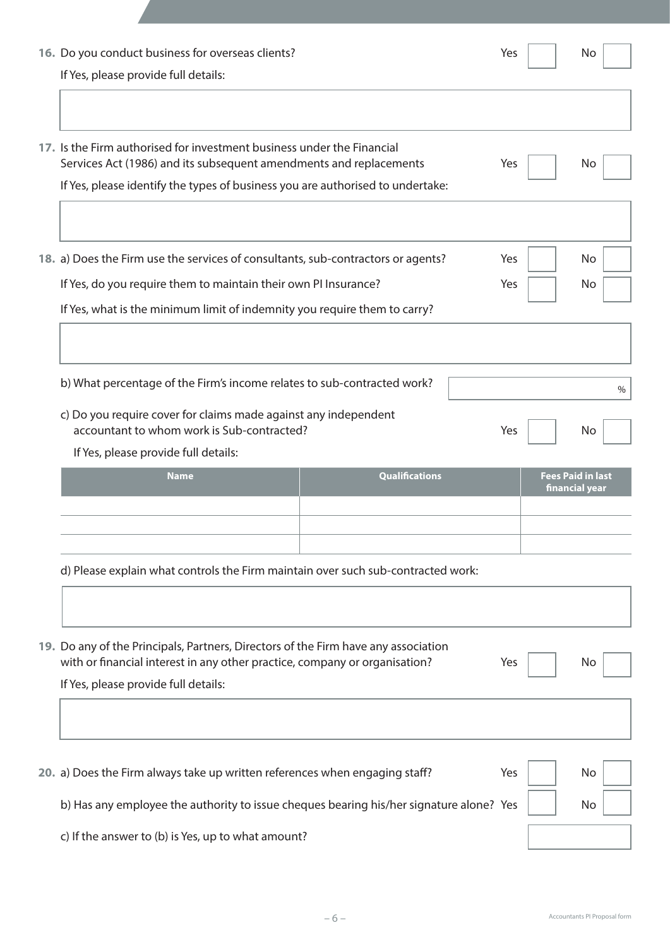| 16. Do you conduct business for overseas clients?<br>If Yes, please provide full details:                                                                                                                                        | Yes               | No                                         |   |
|----------------------------------------------------------------------------------------------------------------------------------------------------------------------------------------------------------------------------------|-------------------|--------------------------------------------|---|
| 17. Is the Firm authorised for investment business under the Financial<br>Services Act (1986) and its subsequent amendments and replacements<br>If Yes, please identify the types of business you are authorised to undertake:   | Yes               | No                                         |   |
| 18. a) Does the Firm use the services of consultants, sub-contractors or agents?<br>If Yes, do you require them to maintain their own PI Insurance?<br>If Yes, what is the minimum limit of indemnity you require them to carry? | Yes<br><b>Yes</b> | No<br>No.                                  |   |
| b) What percentage of the Firm's income relates to sub-contracted work?<br>c) Do you require cover for claims made against any independent<br>accountant to whom work is Sub-contracted?<br>If Yes, please provide full details: | Yes               | No                                         | % |
| <b>Qualifications</b><br><b>Name</b>                                                                                                                                                                                             |                   | <b>Fees Paid in last</b><br>financial year |   |
| d) Please explain what controls the Firm maintain over such sub-contracted work:                                                                                                                                                 |                   |                                            |   |
| 19. Do any of the Principals, Partners, Directors of the Firm have any association<br>with or financial interest in any other practice, company or organisation?<br>If Yes, please provide full details:                         | Yes               | No.                                        |   |
| 20. a) Does the Firm always take up written references when engaging staff?<br>b) Has any employee the authority to issue cheques bearing his/her signature alone? Yes                                                           | Yes               | No<br>No.                                  |   |
| c) If the answer to (b) is Yes, up to what amount?                                                                                                                                                                               |                   |                                            |   |

– 6 – Accountants PI Proposal form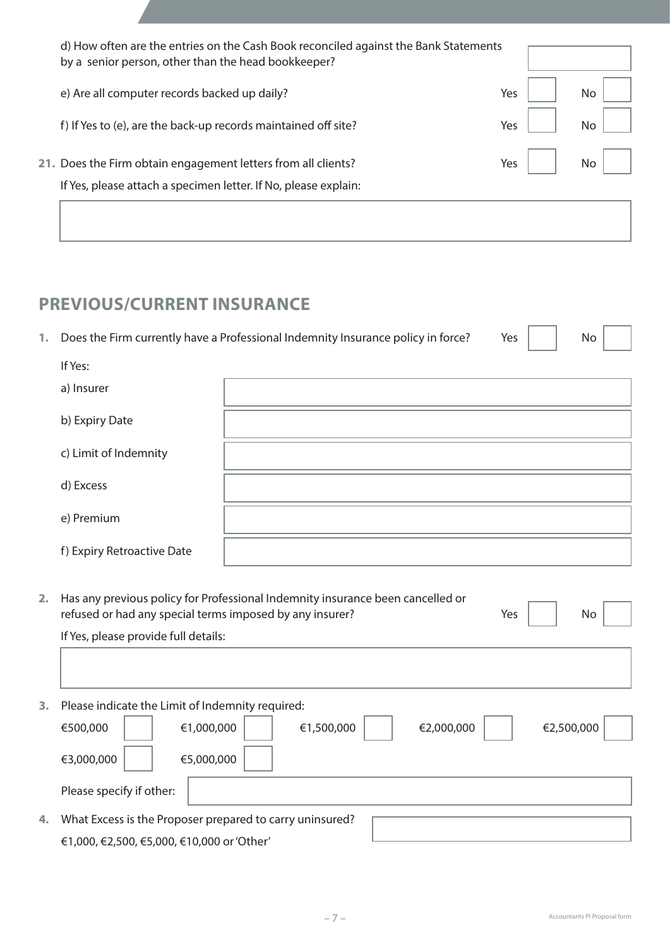| d) How often are the entries on the Cash Book reconciled against the Bank Statements<br>by a senior person, other than the head bookkeeper? |     |     |
|---------------------------------------------------------------------------------------------------------------------------------------------|-----|-----|
| e) Are all computer records backed up daily?                                                                                                | Yes |     |
| f) If Yes to (e), are the back-up records maintained off site?                                                                              | Yes |     |
| 21. Does the Firm obtain engagement letters from all clients?                                                                               | Yes | No. |
| If Yes, please attach a specimen letter. If No, please explain:                                                                             |     |     |
|                                                                                                                                             |     |     |

## **PREVIOUS/CURRENT INSURANCE**

|  | Does the Firm currently have a Professional Indemnity Insurance policy in force? | Yes. |  |
|--|----------------------------------------------------------------------------------|------|--|
|  |                                                                                  |      |  |

| ) |  |  |
|---|--|--|
|---|--|--|

| If Yes:                    |  |
|----------------------------|--|
| a) Insurer                 |  |
| b) Expiry Date             |  |
| c) Limit of Indemnity      |  |
| d) Excess                  |  |
| e) Premium                 |  |
| f) Expiry Retroactive Date |  |

| 2. Has any previous policy for Professional Indemnity insurance been cancelled or |                     |           |  |
|-----------------------------------------------------------------------------------|---------------------|-----------|--|
| refused or had any special terms imposed by any insurer?                          | Yes $\vert$ $\vert$ | <b>No</b> |  |

 If Yes, please provide full details:

| Please indicate the Limit of Indemnity required:                 |
|------------------------------------------------------------------|
| €1,000,000<br>€500,000<br>€1,500,000<br>€2,000,000<br>€2,500,000 |
| €5,000,000<br>€3,000,000                                         |
| Please specify if other:                                         |
| What Excess is the Proposer prepared to carry uninsured?         |
| €1,000, €2,500, €5,000, €10,000 or 'Other'                       |
|                                                                  |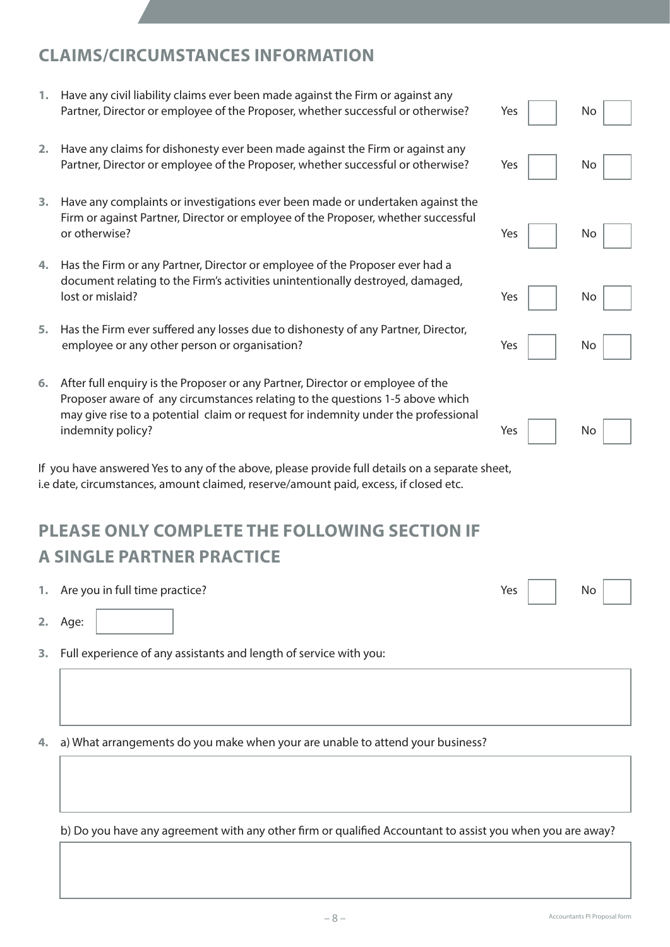### **CLAIMS/CIRCUMSTANCES INFORMATION**

- **1.** Have any civil liability claims ever been made against the Firm or against any Partner, Director or employee of the Proposer, whether successful or otherwise? Yes | No **2.** Have any claims for dishonesty ever been made against the Firm or against any Partner, Director or employee of the Proposer, whether successful or otherwise? Seamler No **3.** Have any complaints or investigations ever been made or undertaken against the Firm or against Partner, Director or employee of the Proposer, whether successful or otherwise? The contract of the contract of the contract of the contract of the contract of the contract of the contract of the contract of the contract of the contract of the contract of the contract of the contract of **4.** Has the Firm or any Partner, Director or employee of the Proposer ever had a document relating to the Firm's activities unintentionally destroyed, damaged, lost or mislaid? Notice that the second second second second second second second second second second second second second second second second second second second second second second second second second second second **5.** Has the Firm ever suffered any losses due to dishonesty of any Partner, Director, employee or any other person or organisation? The match of the Session of the Ves
- **6.** After full enquiry is the Proposer or any Partner, Director or employee of the Proposer aware of any circumstances relating to the questions 1-5 above which may give rise to a potential claim or request for indemnity under the professional indemnity policy? No vertex that the set of the set of the set of the set of the set of the set of the set of the set of the set of the set of the set of the set of the set of the set of the set of the set of the set of th

If you have answered Yes to any of the above, please provide full details on a separate sheet, i.e date, circumstances, amount claimed, reserve/amount paid, excess, if closed etc.

# **PLEASE ONLY COMPLETE THE FOLLOWING SECTION IF A SINGLE PARTNER PRACTICE**

| 1. Are you in full time practice? | Yes | No |  |
|-----------------------------------|-----|----|--|
|                                   |     |    |  |

**2.** Age:

**3.** Full experience of any assistants and length of service with you:

**4.** a) What arrangements do you make when your are unable to attend your business?

 b) Do you have any agreement with any other firm or qualified Accountant to assist you when you are away?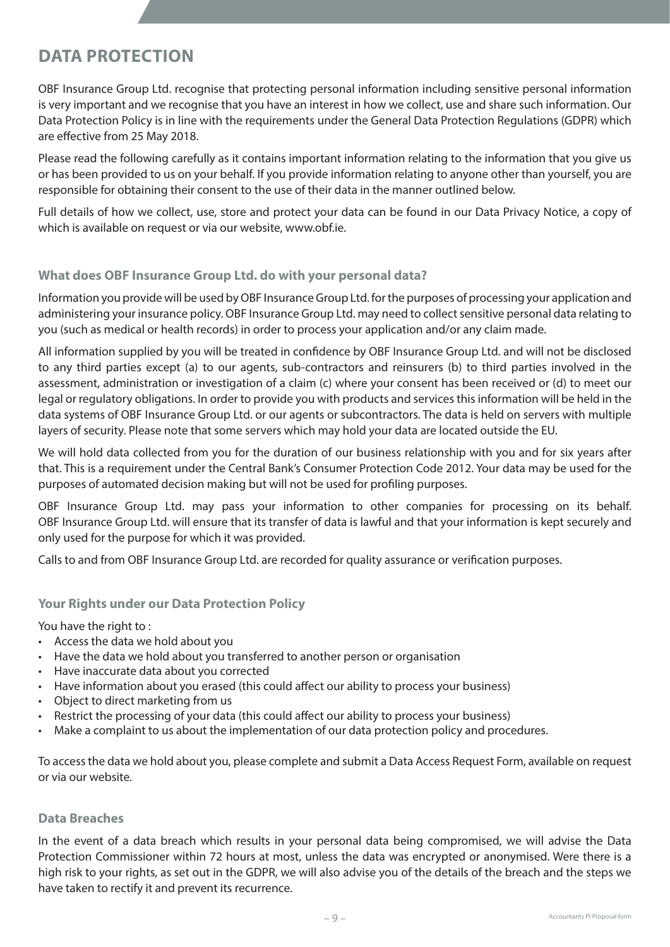### **DATA PROTECTION**

OBF Insurance Group Ltd. recognise that protecting personal information including sensitive personal information is very important and we recognise that you have an interest in how we collect, use and share such information. Our Data Protection Policy is in line with the requirements under the General Data Protection Regulations (GDPR) which are effective from 25 May 2018.

Please read the following carefully as it contains important information relating to the information that you give us or has been provided to us on your behalf. If you provide information relating to anyone other than yourself, you are responsible for obtaining their consent to the use of their data in the manner outlined below.

Full details of how we collect, use, store and protect your data can be found in our Data Privacy Notice, a copy of which is available on request or via our website, www.obf.ie.

#### **What does OBF Insurance Group Ltd. do with your personal data?**

Information you provide will be used by OBF Insurance Group Ltd. for the purposes of processing your application and administering your insurance policy. OBF Insurance Group Ltd. may need to collect sensitive personal data relating to you (such as medical or health records) in order to process your application and/or any claim made.

All information supplied by you will be treated in confidence by OBF Insurance Group Ltd. and will not be disclosed to any third parties except (a) to our agents, sub-contractors and reinsurers (b) to third parties involved in the assessment, administration or investigation of a claim (c) where your consent has been received or (d) to meet our legal or regulatory obligations. In order to provide you with products and services this information will be held in the data systems of OBF Insurance Group Ltd. or our agents or subcontractors. The data is held on servers with multiple layers of security. Please note that some servers which may hold your data are located outside the EU.

We will hold data collected from you for the duration of our business relationship with you and for six years after that. This is a requirement under the Central Bank's Consumer Protection Code 2012. Your data may be used for the purposes of automated decision making but will not be used for profiling purposes.

OBF Insurance Group Ltd. may pass your information to other companies for processing on its behalf. OBF Insurance Group Ltd. will ensure that its transfer of data is lawful and that your information is kept securely and only used for the purpose for which it was provided.

Calls to and from OBF Insurance Group Ltd. are recorded for quality assurance or verification purposes.

#### **Your Rights under our Data Protection Policy**

You have the right to :

- Access the data we hold about you
- Have the data we hold about you transferred to another person or organisation
- Have inaccurate data about you corrected
- Have information about you erased (this could affect our ability to process your business)
- Object to direct marketing from us
- Restrict the processing of your data (this could affect our ability to process your business)
- Make a complaint to us about the implementation of our data protection policy and procedures.

To accessthe data we hold about you, please complete and submit a Data Access Request Form, available on request or via our website.

#### **Data Breaches**

In the event of a data breach which results in your personal data being compromised, we will advise the Data Protection Commissioner within 72 hours at most, unless the data was encrypted or anonymised. Were there is a high risk to your rights, as set out in the GDPR, we will also advise you of the details of the breach and the steps we have taken to rectify it and prevent its recurrence.